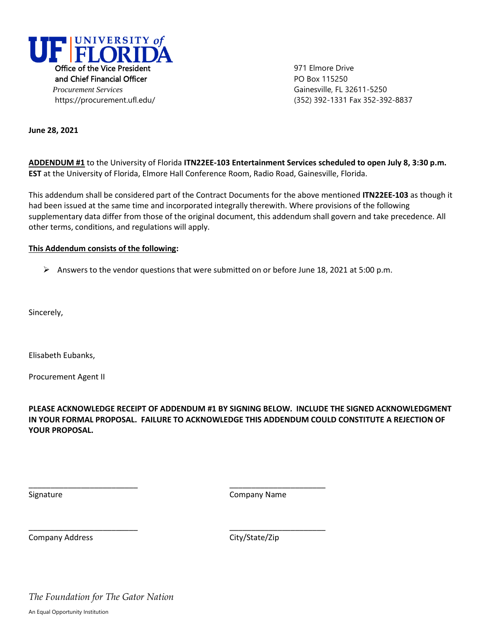

**June 28, 2021**

**ADDENDUM #1** to the University of Florida **ITN22EE-103 Entertainment Services scheduled to open July 8, 3:30 p.m. EST** at the University of Florida, Elmore Hall Conference Room, Radio Road, Gainesville, Florida.

This addendum shall be considered part of the Contract Documents for the above mentioned **ITN22EE-103** as though it had been issued at the same time and incorporated integrally therewith. Where provisions of the following supplementary data differ from those of the original document, this addendum shall govern and take precedence. All other terms, conditions, and regulations will apply.

### **This Addendum consists of the following:**

Answers to the vendor questions that were submitted on or before June 18, 2021 at 5:00 p.m.

Sincerely,

Elisabeth Eubanks,

Procurement Agent II

**PLEASE ACKNOWLEDGE RECEIPT OF ADDENDUM #1 BY SIGNING BELOW. INCLUDE THE SIGNED ACKNOWLEDGMENT IN YOUR FORMAL PROPOSAL. FAILURE TO ACKNOWLEDGE THIS ADDENDUM COULD CONSTITUTE A REJECTION OF YOUR PROPOSAL.**

\_\_\_\_\_\_\_\_\_\_\_\_\_\_\_\_\_\_\_\_\_\_\_\_\_ \_\_\_\_\_\_\_\_\_\_\_\_\_\_\_\_\_\_\_\_\_\_

\_\_\_\_\_\_\_\_\_\_\_\_\_\_\_\_\_\_\_\_\_\_\_\_\_ \_\_\_\_\_\_\_\_\_\_\_\_\_\_\_\_\_\_\_\_\_\_

Signature Company Name

Company Address Company Address City/State/Zip